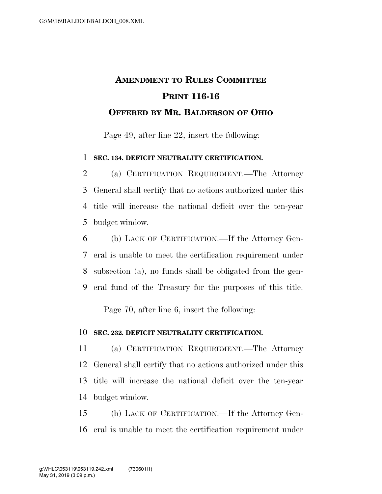## **AMENDMENT TO RULES COMMITTEE PRINT 116-16 OFFERED BY MR. BALDERSON OF OHIO**

Page 49, after line 22, insert the following:

## **SEC. 134. DEFICIT NEUTRALITY CERTIFICATION.**

 (a) CERTIFICATION REQUIREMENT.—The Attorney General shall certify that no actions authorized under this title will increase the national deficit over the ten-year budget window.

 (b) LACK OF CERTIFICATION.—If the Attorney Gen- eral is unable to meet the certification requirement under subsection (a), no funds shall be obligated from the gen-eral fund of the Treasury for the purposes of this title.

Page 70, after line 6, insert the following:

## **SEC. 232. DEFICIT NEUTRALITY CERTIFICATION.**

 (a) CERTIFICATION REQUIREMENT.—The Attorney General shall certify that no actions authorized under this title will increase the national deficit over the ten-year budget window.

 (b) LACK OF CERTIFICATION.—If the Attorney Gen-eral is unable to meet the certification requirement under